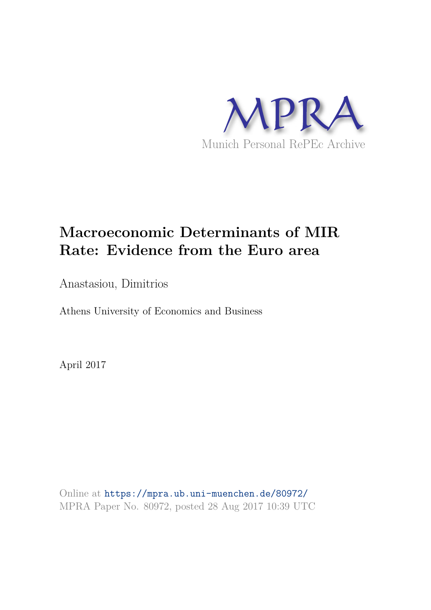

# **Macroeconomic Determinants of MIR Rate: Evidence from the Euro area**

Anastasiou, Dimitrios

Athens University of Economics and Business

April 2017

Online at https://mpra.ub.uni-muenchen.de/80972/ MPRA Paper No. 80972, posted 28 Aug 2017 10:39 UTC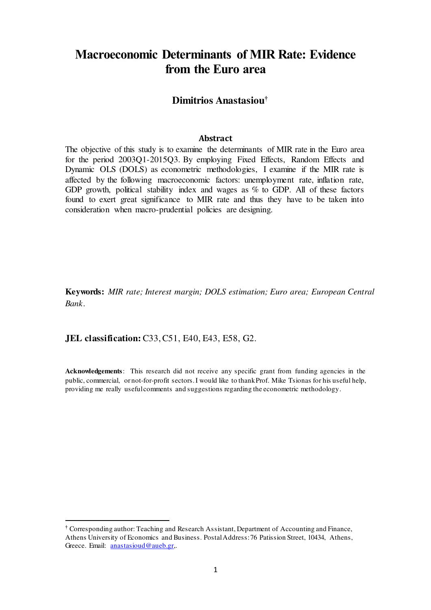# **Macroeconomic Determinants of MIR Rate: Evidence from the Euro area**

# **Dimitrios Anastasiou†**

#### **Abstract**

The objective of this study is to examine the determinants of MIR rate in the Euro area for the period 2003Q1-2015Q3. By employing Fixed Effects, Random Effects and Dynamic OLS (DOLS) as econometric methodologies, I examine if the MIR rate is affected by the following macroeconomic factors: unemployment rate, inflation rate, GDP growth, political stability index and wages as % to GDP. All of these factors found to exert great significance to MIR rate and thus they have to be taken into consideration when macro-prudential policies are designing.

**Keywords:** *MIR rate; Interest margin; DOLS estimation; Euro area; European Central Bank*.

**JEL classification:** C33, C51, E40, E43, E58, G2.

l

**Acknowledgements**: This research did not receive any specific grant from funding agencies in the public, commercial, or not-for-profit sectors. I would like to thank Prof. Mike Tsionas for his useful help, providing me really useful comments and suggestions regarding the econometric methodology.

**<sup>†</sup>** Corresponding author: Teaching and Research Assistant, Department of Accounting and Finance, Athens University of Economics and Business. Postal Address: 76 Patission Street, 10434, Athens, Greece. Email: [anastasioud@aueb.gr](mailto:anastasioud@aueb.gr),.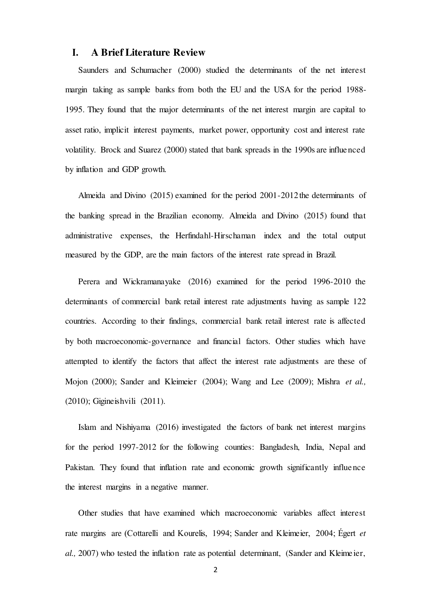# **I. A Brief Literature Review**

Saunders and Schumacher (2000) studied the determinants of the net interest margin taking as sample banks from both the EU and the USA for the period 1988- 1995. They found that the major determinants of the net interest margin are capital to asset ratio, implicit interest payments, market power, opportunity cost and interest rate volatility. Brock and Suarez (2000) stated that bank spreads in the 1990s are influenced by inflation and GDP growth.

Almeida and Divino (2015) examined for the period 2001-2012 the determinants of the banking spread in the Brazilian economy. Almeida and Divino (2015) found that administrative expenses, the Herfindahl-Hirschaman index and the total output measured by the GDP, are the main factors of the interest rate spread in Brazil.

Perera and Wickramanayake (2016) examined for the period 1996-2010 the determinants of commercial bank retail interest rate adjustments having as sample 122 countries. According to their findings, commercial bank retail interest rate is affected by both macroeconomic-governance and financial factors. Other studies which have attempted to identify the factors that affect the interest rate adjustments are these of Mojon (2000); Sander and Kleimeier (2004); Wang and Lee (2009); Mishra *et al.,* (2010); Gigineishvili (2011).

Islam and Nishiyama (2016) investigated the factors of bank net interest margins for the period 1997-2012 for the following counties: Bangladesh, India, Nepal and Pakistan. They found that inflation rate and economic growth significantly influence the interest margins in a negative manner.

Other studies that have examined which macroeconomic variables affect interest rate margins are (Cottarelli and Kourelis, 1994; Sander and Kleimeier, 2004; Égert *et al.,* 2007) who tested the inflation rate as potential determinant, (Sander and Kleimeier,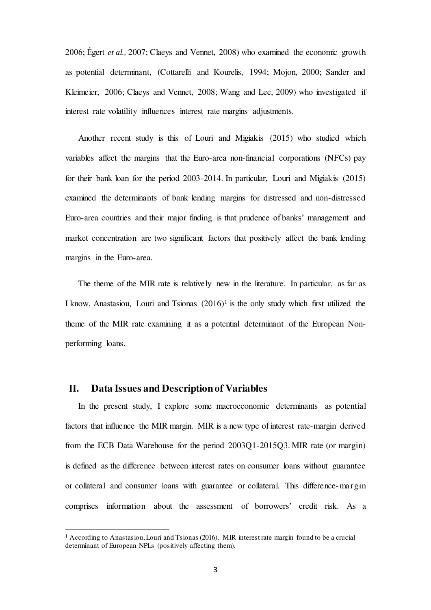2006; Égert *et al.,* 2007; Claeys and Vennet, 2008) who examined the economic growth as potential determinant, (Cottarelli and Kourelis, 1994; Mojon, 2000; Sander and Kleimeier, 2006; Claeys and Vennet, 2008; Wang and Lee, 2009) who investigated if interest rate volatility influences interest rate margins adjustments.

Another recent study is this of Louri and Migiakis (2015) who studied which variables affect the margins that the Euro-area non-financial corporations (NFCs) pay for their bank loan for the period 2003-2014. In particular, Louri and Migiakis (2015) examined the determinants of bank lending margins for distressed and non-distressed Euro-area countries and their major finding is that prudence of banks' management and market concentration are two significant factors that positively affect the bank lending margins in the Euro-area.

The theme of the MIR rate is relatively new in the literature. In particular, as far as I know, Anastasiou, Louri and Tsionas  $(2016)^1$  is the only study which first utilized the theme of the MIR rate examining it as a potential determinant of the European Nonperforming loans.

## **II. Data Issues and Description of Variables**

l

In the present study, I explore some macroeconomic determinants as potential factors that influence the MIR margin. MIR is a new type of interest rate-margin derived from the ECB Data Warehouse for the period 2003Q1-2015Q3. MIR rate (or margin) is defined as the difference between interest rates on consumer loans without guarantee or collateral and consumer loans with guarantee or collateral. This difference-margin comprises information about the assessment of borrowers' credit risk. As a

<sup>&</sup>lt;sup>1</sup> According to Anastasiou, Louri and Tsionas (2016), MIR interest rate margin found to be a crucial determinant of European NPLs (positively affecting them).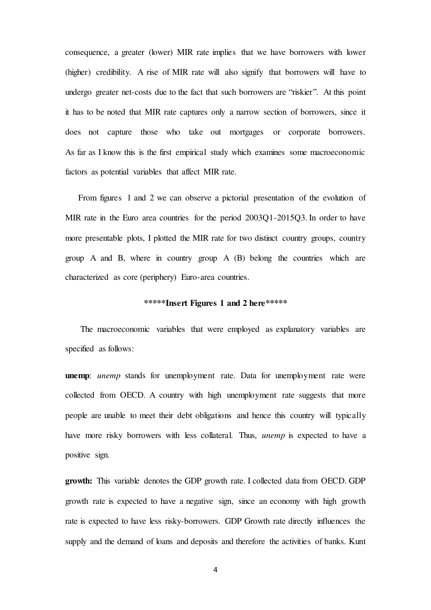consequence, a greater (lower) MIR rate implies that we have borrowers with lower (higher) credibility. A rise of MIR rate will also signify that borrowers will have to undergo greater net-costs due to the fact that such borrowers are "riskier". At this point it has to be noted that MIR rate captures only a narrow section of borrowers, since it does not capture those who take out mortgages or corporate borrowers. As far as I know this is the first empirical study which examines some macroeconomic factors as potential variables that affect MIR rate.

From figures 1 and 2 we can observe a pictorial presentation of the evolution of MIR rate in the Euro area countries for the period 2003Q1-2015Q3. In order to have more presentable plots, I plotted the MIR rate for two distinct country groups, country group A and B, where in country group A (B) belong the countries which are characterized as core (periphery) Euro-area countries.

#### **\*\*\*\*\*Insert Figures 1 and 2 here\*\*\*\*\***

The macroeconomic variables that were employed as explanatory variables are specified as follows:

**unemp**: *unemp* stands for unemployment rate. Data for unemployment rate were collected from OECD. A country with high unemployment rate suggests that more people are unable to meet their debt obligations and hence this country will typically have more risky borrowers with less collateral. Thus, *unemp* is expected to have a positive sign.

**growth:** This variable denotes the GDP growth rate. I collected data from OECD. GDP growth rate is expected to have a negative sign, since an economy with high growth rate is expected to have less risky-borrowers. GDP Growth rate directly influences the supply and the demand of loans and deposits and therefore the activities of banks. Kunt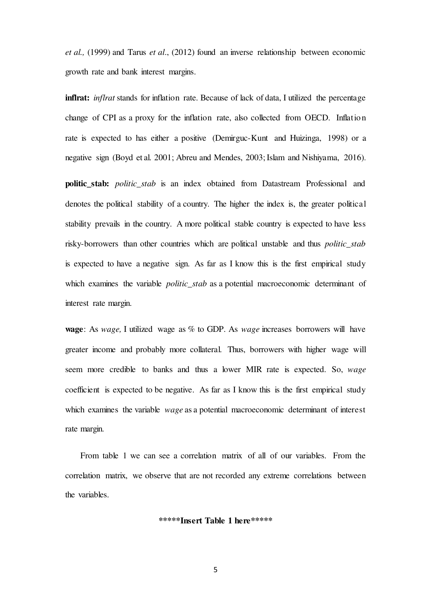*et al.,* (1999) and Tarus *et al*., (2012) found an inverse relationship between economic growth rate and bank interest margins.

**inflrat:** *inflrat* stands for inflation rate. Because of lack of data, I utilized the percentage change of CPI as a proxy for the inflation rate, also collected from OECD. Inflation rate is expected to has either a positive (Demirguc-Kunt and Huizinga, 1998) or a negative sign (Boyd et al. 2001; Abreu and Mendes, 2003; Islam and Nishiyama, 2016).

**politic\_stab:** *politic\_stab* is an index obtained from Datastream Professional and denotes the political stability of a country. The higher the index is, the greater political stability prevails in the country. A more political stable country is expected to have less risky-borrowers than other countries which are political unstable and thus *politic\_stab* is expected to have a negative sign. As far as I know this is the first empirical study which examines the variable *politic\_stab* as a potential macroeconomic determinant of interest rate margin.

**wage**: As *wage,* I utilized wage as % to GDP. As *wage* increases borrowers will have greater income and probably more collateral. Thus, borrowers with higher wage will seem more credible to banks and thus a lower MIR rate is expected. So, *wage* coefficient is expected to be negative. As far as I know this is the first empirical study which examines the variable *wage* as a potential macroeconomic determinant of interest rate margin.

From table 1 we can see a correlation matrix of all of our variables. From the correlation matrix, we observe that are not recorded any extreme correlations between the variables.

#### **\*\*\*\*\*Insert Table 1 here\*\*\*\*\***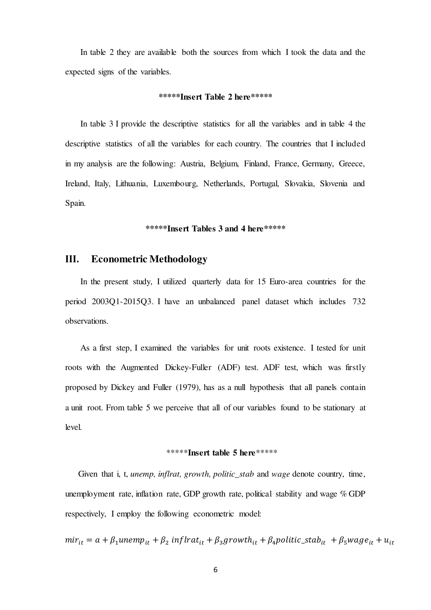In table 2 they are available both the sources from which I took the data and the expected signs of the variables.

#### **\*\*\*\*\*Insert Table 2 here\*\*\*\*\***

In table 3 I provide the descriptive statistics for all the variables and in table 4 the descriptive statistics of all the variables for each country. The countries that I included in my analysis are the following: Austria, Belgium, Finland, France, Germany, Greece, Ireland, Italy, Lithuania, Luxembourg, Netherlands, Portugal, Slovakia, Slovenia and Spain.

### **\*\*\*\*\*Insert Tables 3 and 4 here\*\*\*\*\***

# **III. Econometric Methodology**

In the present study, I utilized quarterly data for 15 Euro-area countries for the period 2003Q1-2015Q3. I have an unbalanced panel dataset which includes 732 observations.

As a first step, I examined the variables for unit roots existence. I tested for unit roots with the Augmented Dickey-Fuller (ADF) test. ADF test, which was firstly proposed by Dickey and Fuller (1979), has as a null hypothesis that all panels contain a unit root. From table 5 we perceive that all of our variables found to be stationary at level.

### \*\*\*\*\***Insert table 5 here**\*\*\*\*\*

Given that i, t, *unemp, inflrat, growth, politic\_stab* and *wage* denote country, time, unemployment rate, inflation rate, GDP growth rate, political stability and wage % GDP respectively, I employ the following econometric model:

 $m r_{it} = a + \beta_1$ unem $p_{it} + \beta_2$  inf lrat $_{it} + \beta_3$ growth $_{it} + \beta_4$ politic\_stab $_{it} + \beta_5$ wag $e_{it} + u_{it}$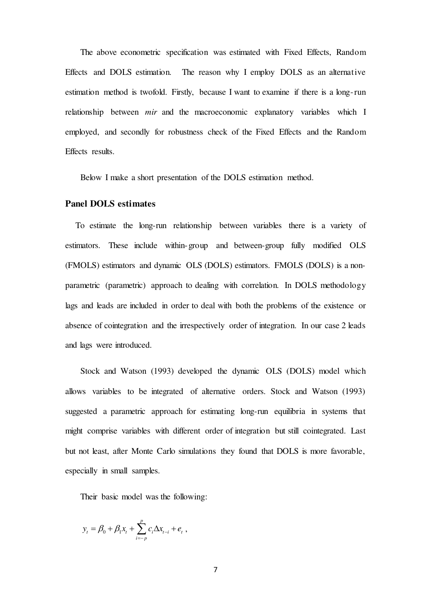The above econometric specification was estimated with Fixed Effects, Random Effects and DOLS estimation. The reason why I employ DOLS as an alternative estimation method is twofold. Firstly, because I want to examine if there is a long-run relationship between *mir* and the macroeconomic explanatory variables which I employed, and secondly for robustness check of the Fixed Effects and the Random Effects results.

Below I make a short presentation of the DOLS estimation method.

#### **Panel DOLS estimates**

To estimate the long-run relationship between variables there is a variety of estimators. These include within-group and between-group fully modified OLS (FMOLS) estimators and dynamic OLS (DOLS) estimators. FMOLS (DOLS) is a nonparametric (parametric) approach to dealing with correlation. In DOLS methodology lags and leads are included in order to deal with both the problems of the existence or absence of cointegration and the irrespectively order of integration. In our case 2 leads and lags were introduced.

Stock and Watson (1993) developed the dynamic OLS (DOLS) model which allows variables to be integrated of alternative orders. Stock and Watson (1993) suggested a parametric approach for estimating long-run equilibria in systems that might comprise variables with different order of integration but still cointegrated. Last but not least, after Monte Carlo simulations they found that DOLS is more favorable, especially in small samples.

Their basic model was the following:

$$
y_t = \beta_0 + \beta_1 x_t + \sum_{i=-p}^p c_i \Delta x_{t-i} + e_t
$$
,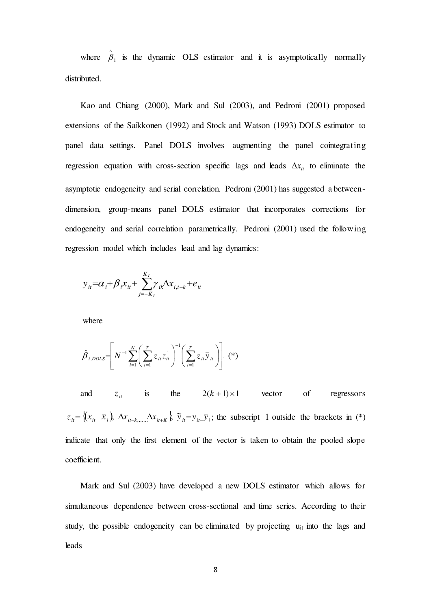where  $\hat{\beta}_1$  is the dynamic OLS estimator and it is asymptotically normally distributed.

Kao and Chiang (2000), Mark and Sul (2003), and Pedroni (2001) proposed extensions of the Saikkonen (1992) and Stock and Watson (1993) DOLS estimator to panel data settings. Panel DOLS involves augmenting the panel cointegrating regression equation with cross-section specific lags and leads  $\Delta x_i$  to eliminate the asymptotic endogeneity and serial correlation. Pedroni (2001) has suggested a betweendimension, group-means panel DOLS estimator that incorporates corrections for endogeneity and serial correlation parametrically. Pedroni (2001) used the following regression model which includes lead and lag dynamics:

$$
y_{it} = \alpha_i + \beta_i x_{it} + \sum_{j=-K_i}^{K_i} \gamma_{ik} \Delta x_{i,t-k} + e_{it}
$$

where

$$
\hat{\beta}_{i,DOLS} = \left[ N^{-1} \sum_{i=1}^{N} \left( \sum_{t=1}^{T} z_{it} z_{it} \right)^{-1} \left( \sum_{t=1}^{T} z_{it} \overline{y}_{it} \right) \right]_{1} (*)
$$

and  $z_{it}$  is the  $2(k+1) \times 1$  vector of regressors  $z_{ii} = \{(x_{ii} - \overline{x}_i), \Delta x_{ii-k, \dots} \Delta x_{ii+k}\}\ \tilde{y}_{ii} = y_{ii} - \overline{y}_i;$  the subscript 1 outside the brackets in (\*) indicate that only the first element of the vector is taken to obtain the pooled slope coefficient.

Mark and Sul (2003) have developed a new DOLS estimator which allows for simultaneous dependence between cross-sectional and time series. According to their study, the possible endogeneity can be eliminated by projecting  $u_{it}$  into the lags and leads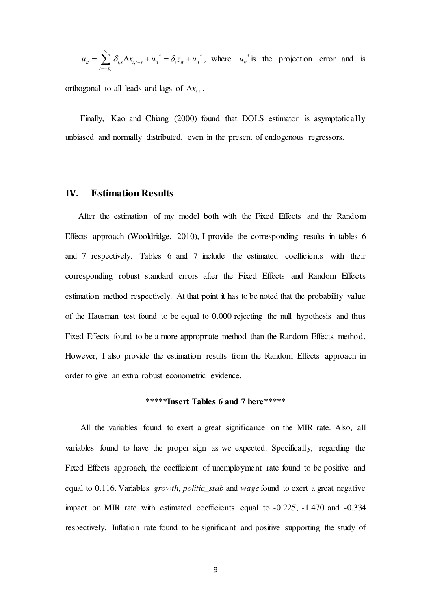$$
u_{it} = \sum_{s=-p_i}^{p_i} \delta_{i,s} \Delta x_{i,t-s} + u_{it}^* = \delta_i z_{it} + u_{it}^*,
$$
 where  $u_{it}^*$  is the projection error and is

orthogonal to all leads and lags of  $\Delta x_{i,t}$ .

Finally, Kao and Chiang (2000) found that DOLS estimator is asymptotically unbiased and normally distributed, even in the present of endogenous regressors.

#### **IV. Estimation Results**

After the estimation of my model both with the Fixed Effects and the Random Effects approach (Wooldridge, 2010), I provide the corresponding results in tables 6 and 7 respectively. Tables 6 and 7 include the estimated coefficients with their corresponding robust standard errors after the Fixed Effects and Random Effects estimation method respectively. At that point it has to be noted that the probability value of the Hausman test found to be equal to 0.000 rejecting the null hypothesis and thus Fixed Effects found to be a more appropriate method than the Random Effects method. However, I also provide the estimation results from the Random Effects approach in order to give an extra robust econometric evidence.

### **\*\*\*\*\*Insert Tables 6 and 7 here\*\*\*\*\***

All the variables found to exert a great significance on the MIR rate. Also, all variables found to have the proper sign as we expected. Specifically, regarding the Fixed Effects approach, the coefficient of unemployment rate found to be positive and equal to 0.116. Variables *growth, politic\_stab* and *wage* found to exert a great negative impact on MIR rate with estimated coefficients equal to -0.225, -1.470 and -0.334 respectively. Inflation rate found to be significant and positive supporting the study of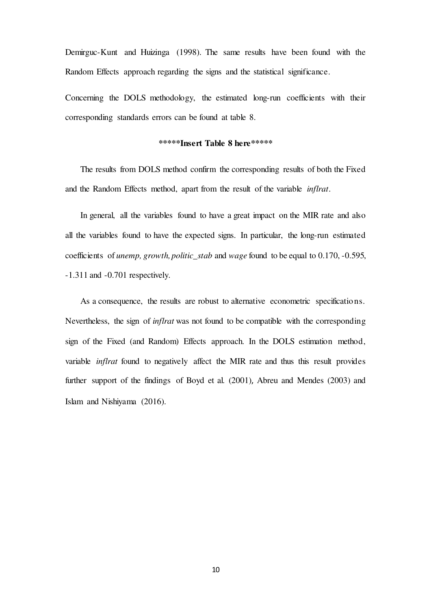Demirguc-Kunt and Huizinga (1998). The same results have been found with the Random Effects approach regarding the signs and the statistical significance.

Concerning the DOLS methodology, the estimated long-run coefficients with their corresponding standards errors can be found at table 8.

# **\*\*\*\*\*Insert Table 8 here\*\*\*\*\***

The results from DOLS method confirm the corresponding results of both the Fixed and the Random Effects method, apart from the result of the variable *inflrat*.

In general, all the variables found to have a great impact on the MIR rate and also all the variables found to have the expected signs. In particular, the long-run estimated coefficients of *unemp, growth, politic\_stab* and *wage* found to be equal to 0.170, -0.595, -1.311 and -0.701 respectively.

As a consequence, the results are robust to alternative econometric specifications. Nevertheless, the sign of *inflrat* was not found to be compatible with the corresponding sign of the Fixed (and Random) Effects approach. In the DOLS estimation method, variable *inflrat* found to negatively affect the MIR rate and thus this result provides further support of the findings of Boyd et al. (2001), Abreu and Mendes (2003) and Islam and Nishiyama (2016).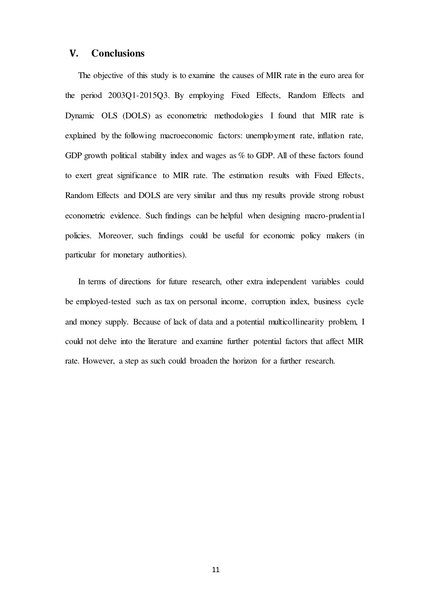# **V. Conclusions**

The objective of this study is to examine the causes of MIR rate in the euro area for the period 2003Q1-2015Q3. By employing Fixed Effects, Random Effects and Dynamic OLS (DOLS) as econometric methodologies I found that MIR rate is explained by the following macroeconomic factors: unemployment rate, inflation rate, GDP growth political stability index and wages as % to GDP. All of these factors found to exert great significance to MIR rate. The estimation results with Fixed Effects, Random Effects and DOLS are very similar and thus my results provide strong robust econometric evidence. Such findings can be helpful when designing macro-prudential policies. Moreover, such findings could be useful for economic policy makers (in particular for monetary authorities).

In terms of directions for future research, other extra independent variables could be employed-tested such as tax on personal income, corruption index, business cycle and money supply. Because of lack of data and a potential multicollinearity problem, I could not delve into the literature and examine further potential factors that affect MIR rate. However, a step as such could broaden the horizon for a further research.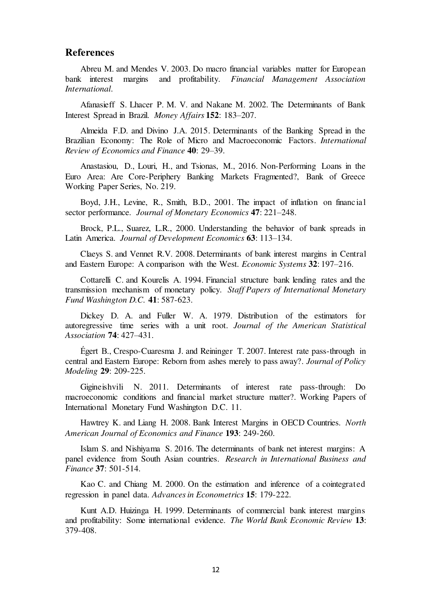# **References**

Abreu M. and Mendes V. 2003. Do macro financial variables matter for European bank interest margins and profitability. *Financial Management Association International*.

Afanasieff S. Lhacer P. M. V. and Nakane M. 2002. The Determinants of Bank Interest Spread in Brazil. *Money Affairs* **152**: 183–207.

Almeida F.D. and Divino J.A. 2015. Determinants of the Banking Spread in the Brazilian Economy: The Role of Micro and Macroeconomic Factors. *International Review of Economics and Finance* **40**: 29–39.

Anastasiou, D., Louri, H., and Tsionas, M., 2016. Non-Performing Loans in the Euro Area: Are Core-Periphery Banking Markets Fragmented?, Bank of Greece Working Paper Series, No. 219.

Boyd, J.H., Levine, R., Smith, B.D., 2001. The impact of inflation on financial sector performance. *Journal of Monetary Economics* **47**: 221–248.

Brock, P.L., Suarez, L.R., 2000. Understanding the behavior of bank spreads in Latin America. *Journal of Development Economics* **63**: 113–134.

Claeys S. and Vennet R.V. 2008. Determinants of bank interest margins in Central and Eastern Europe: A comparison with the West. *Economic Systems* **32**: 197–216.

Cottarelli C. and Kourelis A. 1994. Financial structure bank lending rates and the transmission mechanism of monetary policy. *Staff Papers of International Monetary Fund Washington D.C.* **41**: 587-623.

Dickey D. A. and Fuller W. A. 1979. Distribution of the estimators for autoregressive time series with a unit root. *Journal of the American Statistical Association* **74**: 427–431.

Égert B., Crespo-Cuaresma J. and Reininger T. 2007. Interest rate pass-through in central and Eastern Europe: Reborn from ashes merely to pass away?. *Journal of Policy Modeling* **29**: 209-225.

Gigineishvili N. 2011. Determinants of interest rate pass-through: Do macroeconomic conditions and financial market structure matter?. Working Papers of International Monetary Fund Washington D.C. 11.

Hawtrey K. and Liang H. 2008. Bank Interest Margins in OECD Countries. *North American Journal of Economics and Finance* **193**: 249-260.

Islam S. and Nishiyama S. 2016. The determinants of bank net interest margins: A panel evidence from South Asian countries. *Research in International Business and Finance* **37**: 501-514.

Kao C. and Chiang M. 2000. On the estimation and inference of a cointegrated regression in panel data. *Advances in Econometrics* **15**: 179-222.

Kunt A.D. Huizinga H. 1999. Determinants of commercial bank interest margins and profitability: Some international evidence. *The World Bank Economic Review* **13**: 379-408.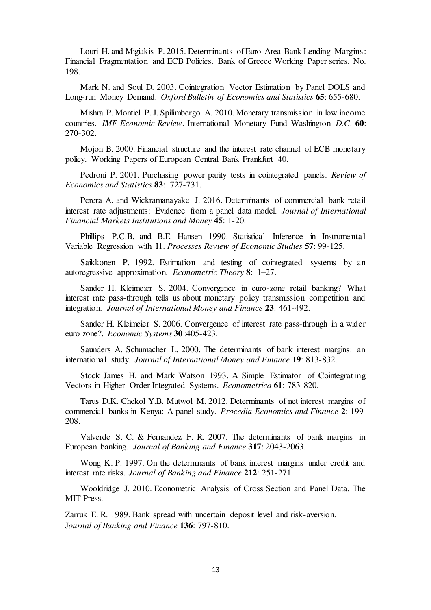Louri H. and Migiakis P. 2015. Determinants of Euro-Area Bank Lending Margins: Financial Fragmentation and ECB Policies. Bank of Greece Working Paper series, No. 198.

Mark N. and Soul D. 2003. Cointegration Vector Estimation by Panel DOLS and Long-run Money Demand. *Oxford Bulletin of Economics and Statistics* **65**: 655-680.

Mishra P. Montiel P. J. Spilimbergo A. 2010. Monetary transmission in low income countries. *IMF Economic Review.* International Monetary Fund Washington *D.C*. **60**: 270-302.

Mojon B. 2000. Financial structure and the interest rate channel of ECB monetary policy. Working Papers of European Central Bank Frankfurt 40.

Pedroni P. 2001. Purchasing power parity tests in cointegrated panels. *Review of Economics and Statistics* **83**: 727-731.

Perera A. and Wickramanayake J. 2016. Determinants of commercial bank retail interest rate adjustments: Evidence from a panel data model. *Journal of International Financial Markets Institutions and Money* **45**: 1-20.

Phillips P.C.B. and B.E. Hansen 1990. Statistical Inference in Instrumental Variable Regression with I1. *Processes Review of Economic Studies* **57**: 99-125.

Saikkonen P. 1992. Estimation and testing of cointegrated systems by an autoregressive approximation. *Econometric Theory* **8**: 1–27.

Sander H. Kleimeier S. 2004. Convergence in euro-zone retail banking? What interest rate pass-through tells us about monetary policy transmission competition and integration. *Journal of International Money and Finance* **23**: 461-492.

Sander H. Kleimeier S. 2006. Convergence of interest rate pass-through in a wider euro zone?. *Economic Systems* **30** :405-423.

Saunders A. Schumacher L. 2000. The determinants of bank interest margins: an international study. *Journal of International Money and Finance* **19**: 813-832.

Stock James H. and Mark Watson 1993. A Simple Estimator of Cointegrating Vectors in Higher Order Integrated Systems. *Econometrica* **61**: 783-820.

Tarus D.K. Chekol Y.B. Mutwol M. 2012. Determinants of net interest margins of commercial banks in Kenya: A panel study. *Procedia Economics and Finance* **2**: 199- 208.

Valverde S. C. & Fernandez F. R. 2007. The determinants of bank margins in European banking. *Journal of Banking and Finance* **317**: 2043-2063.

Wong K. P. 1997. On the determinants of bank interest margins under credit and interest rate risks. *Journal of Banking and Finance* **212**: 251-271.

Wooldridge J. 2010. Econometric Analysis of Cross Section and Panel Data. The MIT Press.

Zarruk E. R. 1989. Bank spread with uncertain deposit level and risk-aversion. J*ournal of Banking and Finance* **136**: 797-810.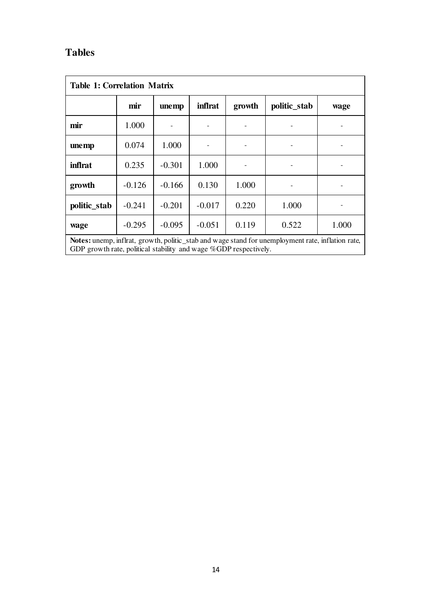# **Tables**

| <b>Table 1: Correlation Matrix</b>                                                                                                                                           |          |          |                |        |              |       |
|------------------------------------------------------------------------------------------------------------------------------------------------------------------------------|----------|----------|----------------|--------|--------------|-------|
|                                                                                                                                                                              | mir      | unemp    | <i>inflrat</i> | growth | politic_stab | wage  |
| mir                                                                                                                                                                          | 1.000    |          |                |        |              |       |
| unemp                                                                                                                                                                        | 0.074    | 1.000    |                |        |              |       |
| <i>inflrat</i>                                                                                                                                                               | 0.235    | $-0.301$ | 1.000          |        |              |       |
| growth                                                                                                                                                                       | $-0.126$ | $-0.166$ | 0.130          | 1.000  |              |       |
| politic_stab                                                                                                                                                                 | $-0.241$ | $-0.201$ | $-0.017$       | 0.220  | 1.000        |       |
| wage                                                                                                                                                                         | $-0.295$ | $-0.095$ | $-0.051$       | 0.119  | 0.522        | 1.000 |
| <b>Notes:</b> unemp, inflrat, growth, politic_stab and wage stand for unemployment rate, inflation rate,<br>GDP growth rate, political stability and wage %GDP respectively. |          |          |                |        |              |       |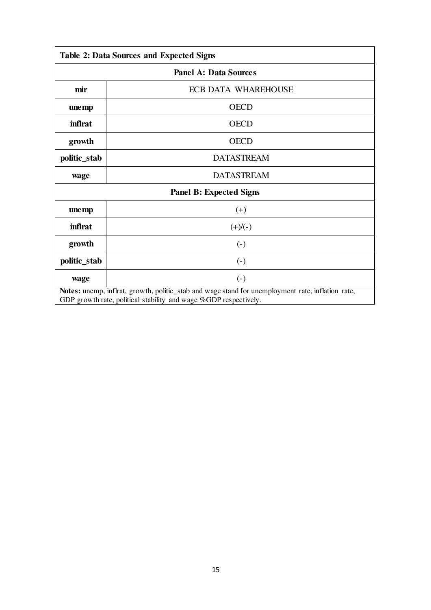| <b>Table 2: Data Sources and Expected Signs</b>                                                                                                                       |                            |  |  |  |
|-----------------------------------------------------------------------------------------------------------------------------------------------------------------------|----------------------------|--|--|--|
| <b>Panel A: Data Sources</b>                                                                                                                                          |                            |  |  |  |
| mir                                                                                                                                                                   | <b>ECB DATA WHAREHOUSE</b> |  |  |  |
| unemp                                                                                                                                                                 | <b>OECD</b>                |  |  |  |
| <i>inflrat</i>                                                                                                                                                        | <b>OECD</b>                |  |  |  |
| growth                                                                                                                                                                | <b>OECD</b>                |  |  |  |
| politic_stab                                                                                                                                                          | <b>DATASTREAM</b>          |  |  |  |
| wage                                                                                                                                                                  | <b>DATASTREAM</b>          |  |  |  |
| <b>Panel B: Expected Signs</b>                                                                                                                                        |                            |  |  |  |
| unemp                                                                                                                                                                 | $(+)$                      |  |  |  |
| inflrat                                                                                                                                                               | $(+)/(-)$                  |  |  |  |
| growth                                                                                                                                                                | $\left( -\right)$          |  |  |  |
| politic_stab                                                                                                                                                          | $\left( -\right)$          |  |  |  |
| wage                                                                                                                                                                  | $\left( -\right)$          |  |  |  |
| Notes: unemp, inflrat, growth, politic_stab and wage stand for unemployment rate, inflation rate,<br>GDP growth rate, political stability and wage %GDP respectively. |                            |  |  |  |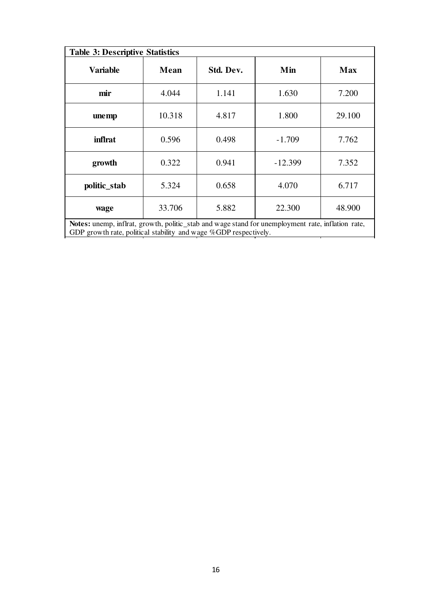| <b>Table 3: Descriptive Statistics</b>                                                                                                                                |        |           |           |            |  |  |
|-----------------------------------------------------------------------------------------------------------------------------------------------------------------------|--------|-----------|-----------|------------|--|--|
| <b>Variable</b>                                                                                                                                                       | Mean   | Std. Dev. | Min       | <b>Max</b> |  |  |
| mir                                                                                                                                                                   | 4.044  | 1.141     | 1.630     | 7.200      |  |  |
| unemp                                                                                                                                                                 | 10.318 | 4.817     | 1.800     | 29.100     |  |  |
| inflrat                                                                                                                                                               | 0.596  | 0.498     | $-1.709$  | 7.762      |  |  |
| growth                                                                                                                                                                | 0.322  | 0.941     | $-12.399$ | 7.352      |  |  |
| politic_stab                                                                                                                                                          | 5.324  | 0.658     | 4.070     | 6.717      |  |  |
| wage                                                                                                                                                                  | 33.706 | 5.882     | 22.300    | 48.900     |  |  |
| Notes: unemp, inflrat, growth, politic_stab and wage stand for unemployment rate, inflation rate,<br>GDP growth rate, political stability and wage %GDP respectively. |        |           |           |            |  |  |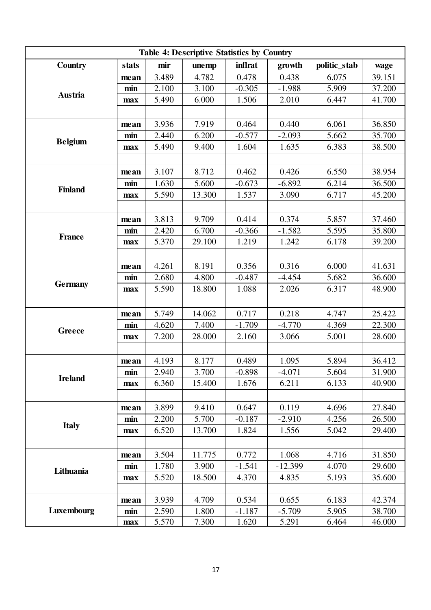| <b>Table 4: Descriptive Statistics by Country</b> |       |       |        |          |           |              |        |
|---------------------------------------------------|-------|-------|--------|----------|-----------|--------------|--------|
| Country                                           | stats | mir   | unemp  | inflrat  | growth    | politic_stab | wage   |
|                                                   | mean  | 3.489 | 4.782  | 0.478    | 0.438     | 6.075        | 39.151 |
|                                                   | min   | 2.100 | 3.100  | $-0.305$ | $-1.988$  | 5.909        | 37.200 |
| Austria                                           | max   | 5.490 | 6.000  | 1.506    | 2.010     | 6.447        | 41.700 |
|                                                   |       |       |        |          |           |              |        |
|                                                   | mean  | 3.936 | 7.919  | 0.464    | 0.440     | 6.061        | 36.850 |
|                                                   | min   | 2.440 | 6.200  | $-0.577$ | $-2.093$  | 5.662        | 35.700 |
| <b>Belgium</b>                                    | max   | 5.490 | 9.400  | 1.604    | 1.635     | 6.383        | 38.500 |
|                                                   |       |       |        |          |           |              |        |
|                                                   | mean  | 3.107 | 8.712  | 0.462    | 0.426     | 6.550        | 38.954 |
|                                                   | min   | 1.630 | 5.600  | $-0.673$ | $-6.892$  | 6.214        | 36.500 |
| <b>Finland</b>                                    | max   | 5.590 | 13.300 | 1.537    | 3.090     | 6.717        | 45.200 |
|                                                   |       |       |        |          |           |              |        |
|                                                   | mean  | 3.813 | 9.709  | 0.414    | 0.374     | 5.857        | 37.460 |
|                                                   | min   | 2.420 | 6.700  | $-0.366$ | $-1.582$  | 5.595        | 35.800 |
| <b>France</b>                                     | max   | 5.370 | 29.100 | 1.219    | 1.242     | 6.178        | 39.200 |
|                                                   |       |       |        |          |           |              |        |
|                                                   | mean  | 4.261 | 8.191  | 0.356    | 0.316     | 6.000        | 41.631 |
|                                                   | min   | 2.680 | 4.800  | $-0.487$ | $-4.454$  | 5.682        | 36.600 |
| <b>Germany</b>                                    | max   | 5.590 | 18.800 | 1.088    | 2.026     | 6.317        | 48.900 |
|                                                   |       |       |        |          |           |              |        |
|                                                   | mean  | 5.749 | 14.062 | 0.717    | 0.218     | 4.747        | 25.422 |
|                                                   | min   | 4.620 | 7.400  | $-1.709$ | $-4.770$  | 4.369        | 22.300 |
| Greece                                            | max   | 7.200 | 28.000 | 2.160    | 3.066     | 5.001        | 28.600 |
|                                                   |       |       |        |          |           |              |        |
|                                                   | mean  | 4.193 | 8.177  | 0.489    | 1.095     | 5.894        | 36.412 |
|                                                   | min   | 2.940 | 3.700  | $-0.898$ | $-4.071$  | 5.604        | 31.900 |
| <b>Ireland</b>                                    | max   | 6.360 | 15.400 | 1.676    | 6.211     | 6.133        | 40.900 |
|                                                   |       |       |        |          |           |              |        |
|                                                   | mean  | 3.899 | 9.410  | 0.647    | 0.119     | 4.696        | 27.840 |
|                                                   | min   | 2.200 | 5.700  | $-0.187$ | $-2.910$  | 4.256        | 26.500 |
| <b>Italy</b>                                      | max   | 6.520 | 13.700 | 1.824    | 1.556     | 5.042        | 29.400 |
|                                                   |       |       |        |          |           |              |        |
|                                                   | mean  | 3.504 | 11.775 | 0.772    | 1.068     | 4.716        | 31.850 |
| Lithuania                                         | min   | 1.780 | 3.900  | $-1.541$ | $-12.399$ | 4.070        | 29.600 |
|                                                   | max   | 5.520 | 18.500 | 4.370    | 4.835     | 5.193        | 35.600 |
|                                                   |       |       |        |          |           |              |        |
|                                                   | mean  | 3.939 | 4.709  | 0.534    | 0.655     | 6.183        | 42.374 |
| Luxembourg                                        | min   | 2.590 | 1.800  | $-1.187$ | $-5.709$  | 5.905        | 38.700 |
|                                                   | max   | 5.570 | 7.300  | 1.620    | 5.291     | 6.464        | 46.000 |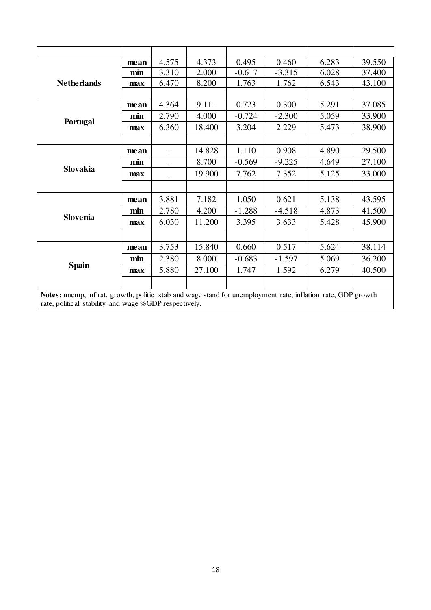|                                                                                                                                                                       | mean | 4.575 | 4.373  | 0.495    | 0.460    | 6.283 | 39.550 |
|-----------------------------------------------------------------------------------------------------------------------------------------------------------------------|------|-------|--------|----------|----------|-------|--------|
|                                                                                                                                                                       | min  | 3.310 | 2.000  | $-0.617$ | $-3.315$ | 6.028 | 37.400 |
| <b>Netherlands</b>                                                                                                                                                    | max  | 6.470 | 8.200  | 1.763    | 1.762    | 6.543 | 43.100 |
|                                                                                                                                                                       |      |       |        |          |          |       |        |
|                                                                                                                                                                       | mean | 4.364 | 9.111  | 0.723    | 0.300    | 5.291 | 37.085 |
|                                                                                                                                                                       | min  | 2.790 | 4.000  | $-0.724$ | $-2.300$ | 5.059 | 33.900 |
| Portugal                                                                                                                                                              | max  | 6.360 | 18.400 | 3.204    | 2.229    | 5.473 | 38.900 |
|                                                                                                                                                                       |      |       |        |          |          |       |        |
|                                                                                                                                                                       | mean |       | 14.828 | 1.110    | 0.908    | 4.890 | 29.500 |
|                                                                                                                                                                       | min  |       | 8.700  | $-0.569$ | $-9.225$ | 4.649 | 27.100 |
| Slovakia                                                                                                                                                              | max  |       | 19.900 | 7.762    | 7.352    | 5.125 | 33.000 |
|                                                                                                                                                                       |      |       |        |          |          |       |        |
|                                                                                                                                                                       | mean | 3.881 | 7.182  | 1.050    | 0.621    | 5.138 | 43.595 |
|                                                                                                                                                                       | min  | 2.780 | 4.200  | $-1.288$ | $-4.518$ | 4.873 | 41.500 |
| <b>Slovenia</b>                                                                                                                                                       | max  | 6.030 | 11.200 | 3.395    | 3.633    | 5.428 | 45.900 |
|                                                                                                                                                                       |      |       |        |          |          |       |        |
|                                                                                                                                                                       | mean | 3.753 | 15.840 | 0.660    | 0.517    | 5.624 | 38.114 |
|                                                                                                                                                                       | min  | 2.380 | 8.000  | $-0.683$ | $-1.597$ | 5.069 | 36.200 |
| <b>Spain</b>                                                                                                                                                          | max  | 5.880 | 27.100 | 1.747    | 1.592    | 6.279 | 40.500 |
|                                                                                                                                                                       |      |       |        |          |          |       |        |
| Notes: unemp, inflrat, growth, politic_stab and wage stand for unemployment rate, inflation rate, GDP growth<br>rate, political stability and wage %GDP respectively. |      |       |        |          |          |       |        |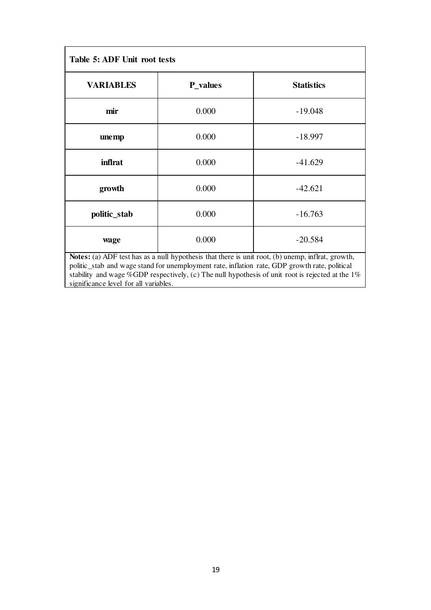| Table 5: ADF Unit root tests                                                                                                                                                                    |          |                   |  |  |
|-------------------------------------------------------------------------------------------------------------------------------------------------------------------------------------------------|----------|-------------------|--|--|
| <b>VARIABLES</b>                                                                                                                                                                                | P_values | <b>Statistics</b> |  |  |
| mir                                                                                                                                                                                             | 0.000    | $-19.048$         |  |  |
| unemp                                                                                                                                                                                           | 0.000    | $-18.997$         |  |  |
| inflrat                                                                                                                                                                                         | 0.000    | $-41.629$         |  |  |
| growth                                                                                                                                                                                          | 0.000    | $-42.621$         |  |  |
| politic_stab                                                                                                                                                                                    | 0.000    | $-16.763$         |  |  |
| wage                                                                                                                                                                                            | 0.000    | $-20.584$         |  |  |
| Notes: (a) ADF test has as a null hypothesis that there is unit root, (b) unemp, inflrat, growth,<br>politic stab and wage stand for unemployment rate inflation rate GDD growth rate political |          |                   |  |  |

politic\_stab and wage stand for unemployment rate, inflation rate, GDP growth rate, political stability and wage %GDP respectively, (c) The null hypothesis of unit root is rejected at the  $1\%$ significance level for all variables.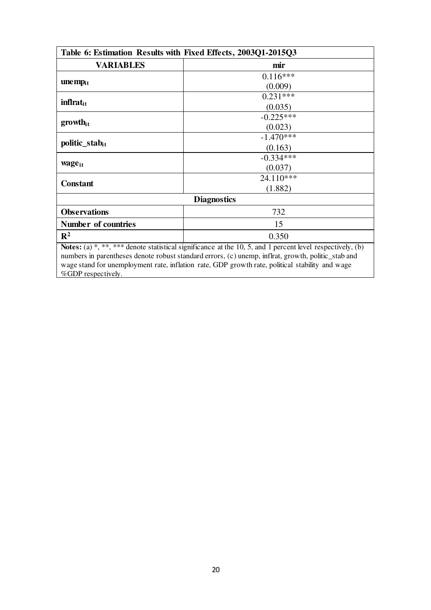| Table 6: Estimation Results with Fixed Effects, 2003Q1-2015Q3 |                                                                                                                          |  |  |  |
|---------------------------------------------------------------|--------------------------------------------------------------------------------------------------------------------------|--|--|--|
| <b>VARIABLES</b>                                              | mir                                                                                                                      |  |  |  |
|                                                               | $0.116***$                                                                                                               |  |  |  |
| $\mathbf{unemp}_{it}$                                         | (0.009)                                                                                                                  |  |  |  |
|                                                               | $0.231***$                                                                                                               |  |  |  |
| <b>inflrat</b> <sub>it</sub>                                  | (0.035)                                                                                                                  |  |  |  |
| $growth_{it}$                                                 | $-0.225***$                                                                                                              |  |  |  |
|                                                               | (0.023)                                                                                                                  |  |  |  |
| politic_stab <sub>it</sub>                                    | $-1.470***$                                                                                                              |  |  |  |
|                                                               | (0.163)                                                                                                                  |  |  |  |
|                                                               | $-0.334***$                                                                                                              |  |  |  |
| wage <sub>it</sub>                                            | (0.037)                                                                                                                  |  |  |  |
| <b>Constant</b>                                               | 24.110***                                                                                                                |  |  |  |
|                                                               | (1.882)                                                                                                                  |  |  |  |
| <b>Diagnostics</b>                                            |                                                                                                                          |  |  |  |
| <b>Observations</b>                                           | 732                                                                                                                      |  |  |  |
| Number of countries                                           | 15                                                                                                                       |  |  |  |
| $\mathbb{R}^2$                                                | 0.350                                                                                                                    |  |  |  |
|                                                               | Notes: $(a)$ <sup>*</sup> , ***, *** denote statistical significance at the 10, 5, and 1 percent level respectively, (b) |  |  |  |

numbers in parentheses denote robust standard errors, (c) unemp, inflrat, growth, politic\_stab and wage stand for unemployment rate, inflation rate, GDP growth rate, political stability and wage %GDP respectively.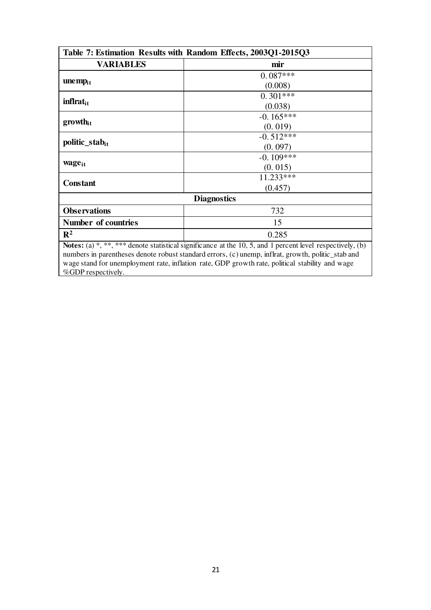| Table 7: Estimation Results with Random Effects, 2003Q1-2015Q3 |                                                                                                                                                                                                                  |  |  |  |
|----------------------------------------------------------------|------------------------------------------------------------------------------------------------------------------------------------------------------------------------------------------------------------------|--|--|--|
| <b>VARIABLES</b>                                               | mir                                                                                                                                                                                                              |  |  |  |
|                                                                | $0.087***$                                                                                                                                                                                                       |  |  |  |
| $\mathbf{unemp}_{it}$                                          | (0.008)                                                                                                                                                                                                          |  |  |  |
|                                                                | $0.301***$                                                                                                                                                                                                       |  |  |  |
| inflrat <sub>it</sub>                                          | (0.038)                                                                                                                                                                                                          |  |  |  |
|                                                                | $-0.165***$                                                                                                                                                                                                      |  |  |  |
| $growth_{it}$                                                  | (0.019)                                                                                                                                                                                                          |  |  |  |
|                                                                | $-0.512***$                                                                                                                                                                                                      |  |  |  |
| politic_stab <sub>it</sub>                                     | (0.097)                                                                                                                                                                                                          |  |  |  |
|                                                                | $-0.109***$                                                                                                                                                                                                      |  |  |  |
| wage <sub>it</sub>                                             | (0.015)                                                                                                                                                                                                          |  |  |  |
| <b>Constant</b>                                                | 11.233***                                                                                                                                                                                                        |  |  |  |
|                                                                | (0.457)                                                                                                                                                                                                          |  |  |  |
|                                                                | <b>Diagnostics</b>                                                                                                                                                                                               |  |  |  |
| <b>Observations</b>                                            | 732                                                                                                                                                                                                              |  |  |  |
| Number of countries                                            | 15                                                                                                                                                                                                               |  |  |  |
| $\mathbf{R}^2$                                                 | 0.285                                                                                                                                                                                                            |  |  |  |
|                                                                | Notes: (a) *, **, *** denote statistical significance at the 10, 5, and 1 percent level respectively, (b)<br>mit en tronen al este den sa oritora san dendomento (s) no meno traduca oriente no l'ate santo en d |  |  |  |

numbers in parentheses denote robust standard errors, (c) unemp, inflrat, growth, politic\_stab and wage stand for unemployment rate, inflation rate, GDP growth rate, political stability and wage %GDP respectively.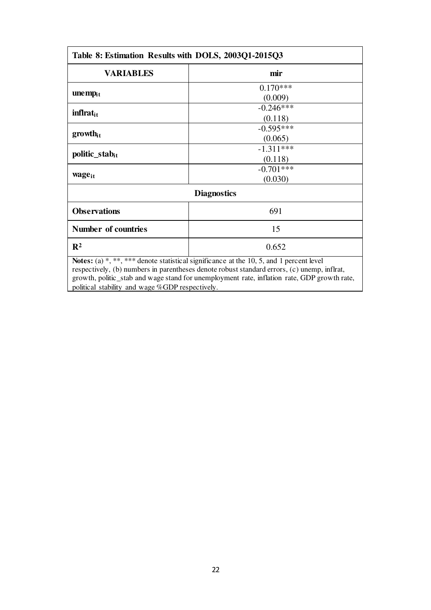| Table 8: Estimation Results with DOLS, 2003Q1-2015Q3 |                                                                                                                                                                                                                                                                                               |  |  |  |
|------------------------------------------------------|-----------------------------------------------------------------------------------------------------------------------------------------------------------------------------------------------------------------------------------------------------------------------------------------------|--|--|--|
| <b>VARIABLES</b>                                     | mir                                                                                                                                                                                                                                                                                           |  |  |  |
| $\mathbf{unemp}_{it}$                                | $0.170***$<br>(0.009)                                                                                                                                                                                                                                                                         |  |  |  |
| inflrat <sub>it</sub>                                | $-0.246***$<br>(0.118)                                                                                                                                                                                                                                                                        |  |  |  |
| $growth_{it}$                                        | $-0.595***$<br>(0.065)                                                                                                                                                                                                                                                                        |  |  |  |
| politic_stabit                                       | $-1.311***$<br>(0.118)                                                                                                                                                                                                                                                                        |  |  |  |
| wage <sub>it</sub>                                   | $-0.701***$<br>(0.030)                                                                                                                                                                                                                                                                        |  |  |  |
|                                                      | <b>Diagnostics</b>                                                                                                                                                                                                                                                                            |  |  |  |
| <b>Observations</b>                                  | 691                                                                                                                                                                                                                                                                                           |  |  |  |
| Number of countries                                  | 15                                                                                                                                                                                                                                                                                            |  |  |  |
| $\mathbf{R}^2$                                       | 0.652                                                                                                                                                                                                                                                                                         |  |  |  |
|                                                      | <b>Notes:</b> (a) *, **, *** denote statistical significance at the 10, 5, and 1 percent level<br>$\mathbf{A} = \mathbf{A} \times \mathbf{A}$ and $\mathbf{A} = \mathbf{A} \times \mathbf{A}$ and $\mathbf{A} = \mathbf{A} \times \mathbf{A}$ and $\mathbf{A} = \mathbf{A} \times \mathbf{A}$ |  |  |  |

respectively, (b) numbers in parentheses denote robust standard errors, (c) unemp, inflrat, growth, politic\_stab and wage stand for unemployment rate, inflation rate, GDP growth rate, political stability and wage %GDP respectively.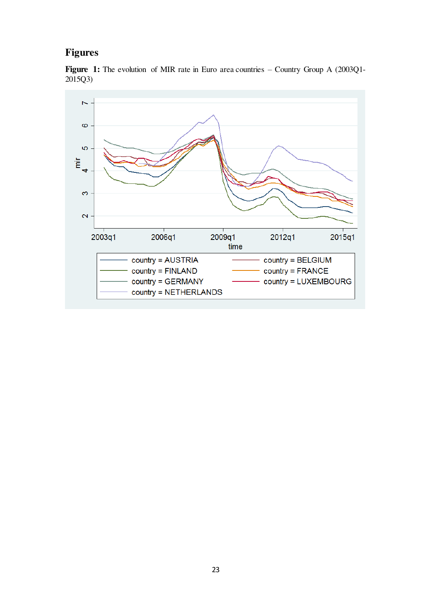# **Figures**

Figure 1: The evolution of MIR rate in Euro area countries – Country Group A (2003Q1-2015Q3)